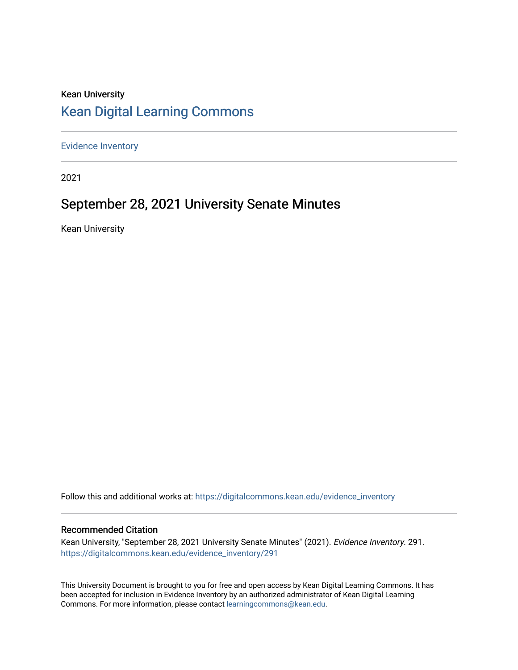## Kean University [Kean Digital Learning Commons](https://digitalcommons.kean.edu/)

[Evidence Inventory](https://digitalcommons.kean.edu/evidence_inventory) 

2021

# September 28, 2021 University Senate Minutes

Kean University

Follow this and additional works at: [https://digitalcommons.kean.edu/evidence\\_inventory](https://digitalcommons.kean.edu/evidence_inventory?utm_source=digitalcommons.kean.edu%2Fevidence_inventory%2F291&utm_medium=PDF&utm_campaign=PDFCoverPages)

#### Recommended Citation

Kean University, "September 28, 2021 University Senate Minutes" (2021). Evidence Inventory. 291. [https://digitalcommons.kean.edu/evidence\\_inventory/291](https://digitalcommons.kean.edu/evidence_inventory/291?utm_source=digitalcommons.kean.edu%2Fevidence_inventory%2F291&utm_medium=PDF&utm_campaign=PDFCoverPages)

This University Document is brought to you for free and open access by Kean Digital Learning Commons. It has been accepted for inclusion in Evidence Inventory by an authorized administrator of Kean Digital Learning Commons. For more information, please contact [learningcommons@kean.edu.](mailto:learningcommons@kean.edu)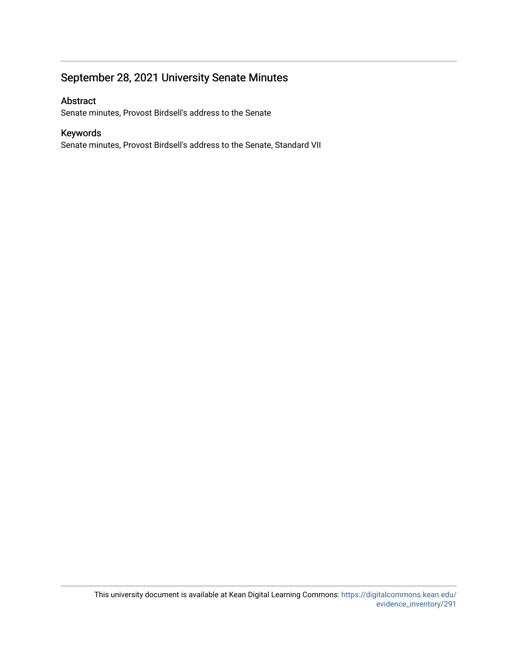## September 28, 2021 University Senate Minutes

#### Abstract

Senate minutes, Provost Birdsell's address to the Senate

#### Keywords

Senate minutes, Provost Birdsell's address to the Senate, Standard VII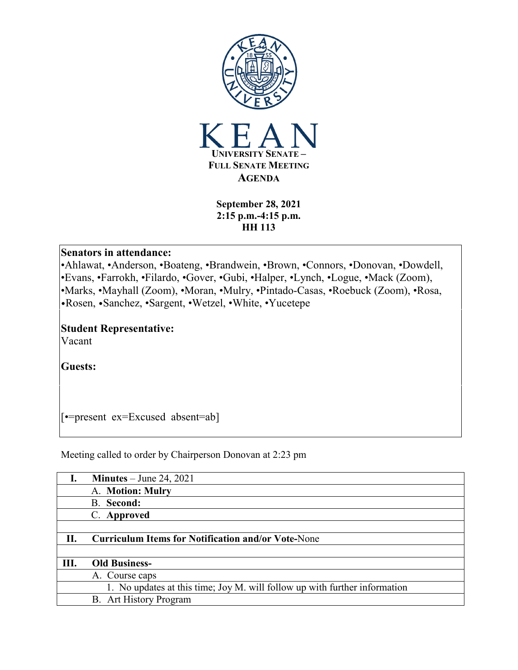

**September 28, 2021 2:15 p.m.-4:15 p.m. HH 113**

#### **Senators in attendance:**

•Ahlawat, •Anderson, •Boateng, •Brandwein, •Brown, •Connors, •Donovan, •Dowdell, •Evans, •Farrokh, •Filardo, •Gover, •Gubi, •Halper, •Lynch, •Logue, •Mack (Zoom), •Marks, •Mayhall (Zoom), •Moran, •Mulry, •Pintado-Casas, •Roebuck (Zoom), •Rosa, •Rosen, •Sanchez, •Sargent, •Wetzel, •White, •Yucetepe

# **Student Representative:**

Vacant

**Guests:**

[•=present ex=Excused absent=ab]

Meeting called to order by Chairperson Donovan at 2:23 pm

|    | <b>Minutes</b> – June 24, 2021                                             |
|----|----------------------------------------------------------------------------|
|    | A. Motion: Mulry                                                           |
|    | <b>B.</b> Second:                                                          |
|    | C. Approved                                                                |
|    |                                                                            |
| П. | <b>Curriculum Items for Notification and/or Vote-None</b>                  |
|    |                                                                            |
| Ш. | <b>Old Business-</b>                                                       |
|    | A. Course caps                                                             |
|    | 1. No updates at this time; Joy M. will follow up with further information |
|    | B. Art History Program                                                     |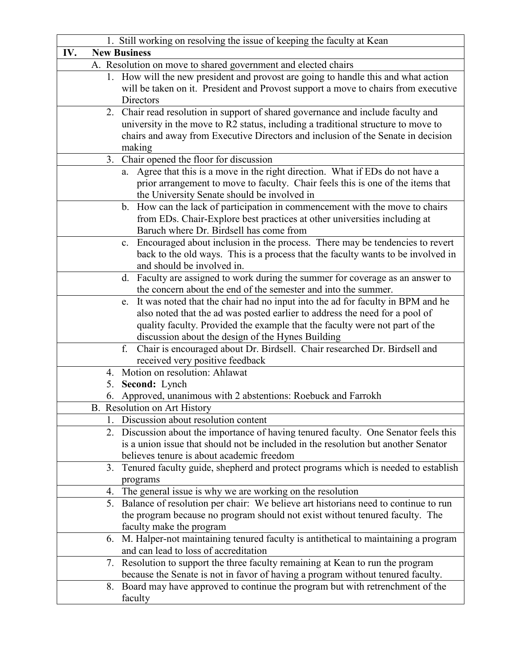| 1. Still working on resolving the issue of keeping the faculty at Kean                  |  |  |
|-----------------------------------------------------------------------------------------|--|--|
| IV.<br><b>New Business</b>                                                              |  |  |
| A. Resolution on move to shared government and elected chairs                           |  |  |
| 1. How will the new president and provost are going to handle this and what action      |  |  |
| will be taken on it. President and Provost support a move to chairs from executive      |  |  |
| Directors                                                                               |  |  |
| 2. Chair read resolution in support of shared governance and include faculty and        |  |  |
| university in the move to R2 status, including a traditional structure to move to       |  |  |
| chairs and away from Executive Directors and inclusion of the Senate in decision        |  |  |
| making                                                                                  |  |  |
| Chair opened the floor for discussion<br>3.                                             |  |  |
| Agree that this is a move in the right direction. What if EDs do not have a<br>a.       |  |  |
| prior arrangement to move to faculty. Chair feels this is one of the items that         |  |  |
| the University Senate should be involved in                                             |  |  |
| b. How can the lack of participation in commencement with the move to chairs            |  |  |
| from EDs. Chair-Explore best practices at other universities including at               |  |  |
| Baruch where Dr. Birdsell has come from                                                 |  |  |
| Encouraged about inclusion in the process. There may be tendencies to revert<br>c.      |  |  |
| back to the old ways. This is a process that the faculty wants to be involved in        |  |  |
| and should be involved in.                                                              |  |  |
| d. Faculty are assigned to work during the summer for coverage as an answer to          |  |  |
| the concern about the end of the semester and into the summer.                          |  |  |
| It was noted that the chair had no input into the ad for faculty in BPM and he<br>e.    |  |  |
| also noted that the ad was posted earlier to address the need for a pool of             |  |  |
| quality faculty. Provided the example that the faculty were not part of the             |  |  |
| discussion about the design of the Hynes Building                                       |  |  |
| f.<br>Chair is encouraged about Dr. Birdsell. Chair researched Dr. Birdsell and         |  |  |
| received very positive feedback                                                         |  |  |
| 4. Motion on resolution: Ahlawat                                                        |  |  |
| Second: Lynch<br>5.                                                                     |  |  |
| 6. Approved, unanimous with 2 abstentions: Roebuck and Farrokh                          |  |  |
| B. Resolution on Art History                                                            |  |  |
| Discussion about resolution content                                                     |  |  |
| 2. Discussion about the importance of having tenured faculty. One Senator feels this    |  |  |
| is a union issue that should not be included in the resolution but another Senator      |  |  |
| believes tenure is about academic freedom                                               |  |  |
| Tenured faculty guide, shepherd and protect programs which is needed to establish<br>3. |  |  |
| programs                                                                                |  |  |
| The general issue is why we are working on the resolution<br>4.                         |  |  |
| 5. Balance of resolution per chair: We believe art historians need to continue to run   |  |  |
| the program because no program should not exist without tenured faculty. The            |  |  |
| faculty make the program                                                                |  |  |
| 6. M. Halper-not maintaining tenured faculty is antithetical to maintaining a program   |  |  |
| and can lead to loss of accreditation                                                   |  |  |
| Resolution to support the three faculty remaining at Kean to run the program<br>7.      |  |  |
| because the Senate is not in favor of having a program without tenured faculty.         |  |  |
| Board may have approved to continue the program but with retrenchment of the<br>8.      |  |  |
| faculty                                                                                 |  |  |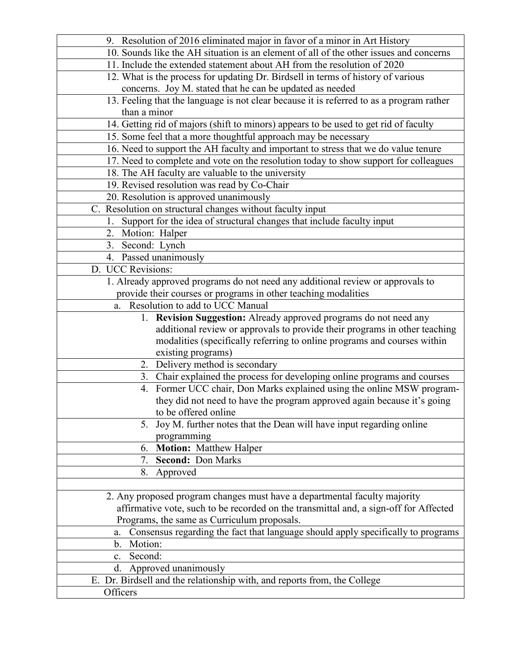| 10. Sounds like the AH situation is an element of all of the other issues and concerns<br>11. Include the extended statement about AH from the resolution of 2020<br>12. What is the process for updating Dr. Birdsell in terms of history of various<br>concerns. Joy M. stated that he can be updated as needed<br>13. Feeling that the language is not clear because it is referred to as a program rather<br>than a minor<br>14. Getting rid of majors (shift to minors) appears to be used to get rid of faculty |
|-----------------------------------------------------------------------------------------------------------------------------------------------------------------------------------------------------------------------------------------------------------------------------------------------------------------------------------------------------------------------------------------------------------------------------------------------------------------------------------------------------------------------|
|                                                                                                                                                                                                                                                                                                                                                                                                                                                                                                                       |
|                                                                                                                                                                                                                                                                                                                                                                                                                                                                                                                       |
|                                                                                                                                                                                                                                                                                                                                                                                                                                                                                                                       |
|                                                                                                                                                                                                                                                                                                                                                                                                                                                                                                                       |
|                                                                                                                                                                                                                                                                                                                                                                                                                                                                                                                       |
|                                                                                                                                                                                                                                                                                                                                                                                                                                                                                                                       |
|                                                                                                                                                                                                                                                                                                                                                                                                                                                                                                                       |
| 15. Some feel that a more thoughtful approach may be necessary                                                                                                                                                                                                                                                                                                                                                                                                                                                        |
| 16. Need to support the AH faculty and important to stress that we do value tenure                                                                                                                                                                                                                                                                                                                                                                                                                                    |
| 17. Need to complete and vote on the resolution today to show support for colleagues                                                                                                                                                                                                                                                                                                                                                                                                                                  |
| 18. The AH faculty are valuable to the university                                                                                                                                                                                                                                                                                                                                                                                                                                                                     |
| 19. Revised resolution was read by Co-Chair                                                                                                                                                                                                                                                                                                                                                                                                                                                                           |
| 20. Resolution is approved unanimously                                                                                                                                                                                                                                                                                                                                                                                                                                                                                |
| C. Resolution on structural changes without faculty input                                                                                                                                                                                                                                                                                                                                                                                                                                                             |
| 1. Support for the idea of structural changes that include faculty input                                                                                                                                                                                                                                                                                                                                                                                                                                              |
| 2. Motion: Halper                                                                                                                                                                                                                                                                                                                                                                                                                                                                                                     |
| 3. Second: Lynch                                                                                                                                                                                                                                                                                                                                                                                                                                                                                                      |
| 4. Passed unanimously                                                                                                                                                                                                                                                                                                                                                                                                                                                                                                 |
| D. UCC Revisions:                                                                                                                                                                                                                                                                                                                                                                                                                                                                                                     |
| 1. Already approved programs do not need any additional review or approvals to                                                                                                                                                                                                                                                                                                                                                                                                                                        |
| provide their courses or programs in other teaching modalities                                                                                                                                                                                                                                                                                                                                                                                                                                                        |
| Resolution to add to UCC Manual<br>a.                                                                                                                                                                                                                                                                                                                                                                                                                                                                                 |
| 1. Revision Suggestion: Already approved programs do not need any                                                                                                                                                                                                                                                                                                                                                                                                                                                     |
| additional review or approvals to provide their programs in other teaching                                                                                                                                                                                                                                                                                                                                                                                                                                            |
| modalities (specifically referring to online programs and courses within                                                                                                                                                                                                                                                                                                                                                                                                                                              |
| existing programs)                                                                                                                                                                                                                                                                                                                                                                                                                                                                                                    |
| Delivery method is secondary<br>2.                                                                                                                                                                                                                                                                                                                                                                                                                                                                                    |
| 3. Chair explained the process for developing online programs and courses                                                                                                                                                                                                                                                                                                                                                                                                                                             |
| 4. Former UCC chair, Don Marks explained using the online MSW program-                                                                                                                                                                                                                                                                                                                                                                                                                                                |
| they did not need to have the program approved again because it's going                                                                                                                                                                                                                                                                                                                                                                                                                                               |
| to be offered online                                                                                                                                                                                                                                                                                                                                                                                                                                                                                                  |
| Joy M. further notes that the Dean will have input regarding online                                                                                                                                                                                                                                                                                                                                                                                                                                                   |
| programming                                                                                                                                                                                                                                                                                                                                                                                                                                                                                                           |
| <b>Motion:</b> Matthew Halper<br>6.                                                                                                                                                                                                                                                                                                                                                                                                                                                                                   |
| <b>Second: Don Marks</b><br>7.                                                                                                                                                                                                                                                                                                                                                                                                                                                                                        |
| Approved<br>8.                                                                                                                                                                                                                                                                                                                                                                                                                                                                                                        |
|                                                                                                                                                                                                                                                                                                                                                                                                                                                                                                                       |
| 2. Any proposed program changes must have a departmental faculty majority                                                                                                                                                                                                                                                                                                                                                                                                                                             |
| affirmative vote, such to be recorded on the transmittal and, a sign-off for Affected                                                                                                                                                                                                                                                                                                                                                                                                                                 |
| Programs, the same as Curriculum proposals.                                                                                                                                                                                                                                                                                                                                                                                                                                                                           |
| Consensus regarding the fact that language should apply specifically to programs<br>a.                                                                                                                                                                                                                                                                                                                                                                                                                                |
| Motion:<br>b.                                                                                                                                                                                                                                                                                                                                                                                                                                                                                                         |
| Second:<br>$\mathbf{c}$ .                                                                                                                                                                                                                                                                                                                                                                                                                                                                                             |
| Approved unanimously<br>d.                                                                                                                                                                                                                                                                                                                                                                                                                                                                                            |
| E. Dr. Birdsell and the relationship with, and reports from, the College                                                                                                                                                                                                                                                                                                                                                                                                                                              |
| Officers                                                                                                                                                                                                                                                                                                                                                                                                                                                                                                              |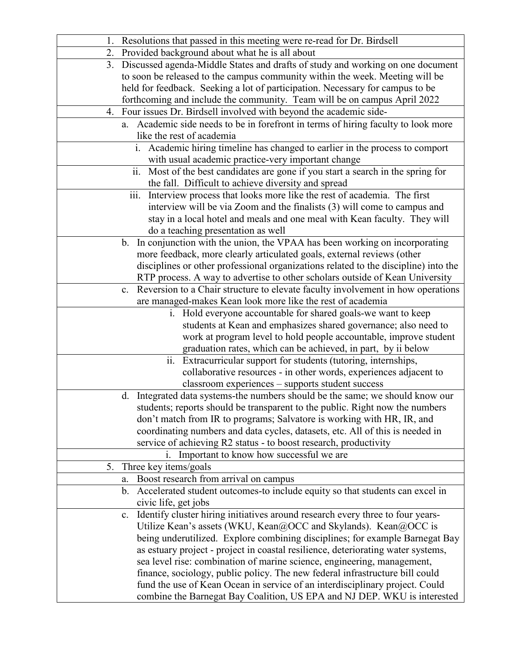|    | 1. Resolutions that passed in this meeting were re-read for Dr. Birdsell                                                                          |
|----|---------------------------------------------------------------------------------------------------------------------------------------------------|
|    | 2. Provided background about what he is all about                                                                                                 |
|    | 3. Discussed agenda-Middle States and drafts of study and working on one document                                                                 |
|    | to soon be released to the campus community within the week. Meeting will be                                                                      |
|    | held for feedback. Seeking a lot of participation. Necessary for campus to be                                                                     |
|    | forthcoming and include the community. Team will be on campus April 2022                                                                          |
|    | 4. Four issues Dr. Birdsell involved with beyond the academic side-                                                                               |
|    | a. Academic side needs to be in forefront in terms of hiring faculty to look more                                                                 |
|    | like the rest of academia                                                                                                                         |
|    | Academic hiring timeline has changed to earlier in the process to comport                                                                         |
|    | with usual academic practice-very important change                                                                                                |
|    | ii.<br>Most of the best candidates are gone if you start a search in the spring for                                                               |
|    | the fall. Difficult to achieve diversity and spread                                                                                               |
|    | iii. Interview process that looks more like the rest of academia. The first                                                                       |
|    | interview will be via Zoom and the finalists (3) will come to campus and                                                                          |
|    | stay in a local hotel and meals and one meal with Kean faculty. They will                                                                         |
|    | do a teaching presentation as well                                                                                                                |
|    | In conjunction with the union, the VPAA has been working on incorporating<br>$\mathbf{b}$ .                                                       |
|    | more feedback, more clearly articulated goals, external reviews (other                                                                            |
|    | disciplines or other professional organizations related to the discipline) into the                                                               |
|    | RTP process. A way to advertise to other scholars outside of Kean University                                                                      |
|    | Reversion to a Chair structure to elevate faculty involvement in how operations<br>$\mathbf{c}$ .                                                 |
|    | are managed-makes Kean look more like the rest of academia                                                                                        |
|    | i. Hold everyone accountable for shared goals-we want to keep                                                                                     |
|    | students at Kean and emphasizes shared governance; also need to                                                                                   |
|    | work at program level to hold people accountable, improve student                                                                                 |
|    | graduation rates, which can be achieved, in part, by ii below                                                                                     |
|    | Extracurricular support for students (tutoring, internships,<br>ii.                                                                               |
|    | collaborative resources - in other words, experiences adjacent to                                                                                 |
|    | classroom experiences - supports student success                                                                                                  |
|    | d. Integrated data systems-the numbers should be the same; we should know our                                                                     |
|    | students; reports should be transparent to the public. Right now the numbers                                                                      |
|    | don't match from IR to programs; Salvatore is working with HR, IR, and                                                                            |
|    | coordinating numbers and data cycles, datasets, etc. All of this is needed in<br>service of achieving R2 status - to boost research, productivity |
|    | Important to know how successful we are                                                                                                           |
| 5. | 1.<br>Three key items/goals                                                                                                                       |
|    | Boost research from arrival on campus                                                                                                             |
|    | a.<br>Accelerated student outcomes-to include equity so that students can excel in<br>b.                                                          |
|    | civic life, get jobs                                                                                                                              |
|    | Identify cluster hiring initiatives around research every three to four years-<br>c.                                                              |
|    | Utilize Kean's assets (WKU, Kean@OCC and Skylands). Kean@OCC is                                                                                   |
|    | being underutilized. Explore combining disciplines; for example Barnegat Bay                                                                      |
|    | as estuary project - project in coastal resilience, deteriorating water systems,                                                                  |
|    | sea level rise: combination of marine science, engineering, management,                                                                           |
|    | finance, sociology, public policy. The new federal infrastructure bill could                                                                      |
|    | fund the use of Kean Ocean in service of an interdisciplinary project. Could                                                                      |
|    | combine the Barnegat Bay Coalition, US EPA and NJ DEP. WKU is interested                                                                          |